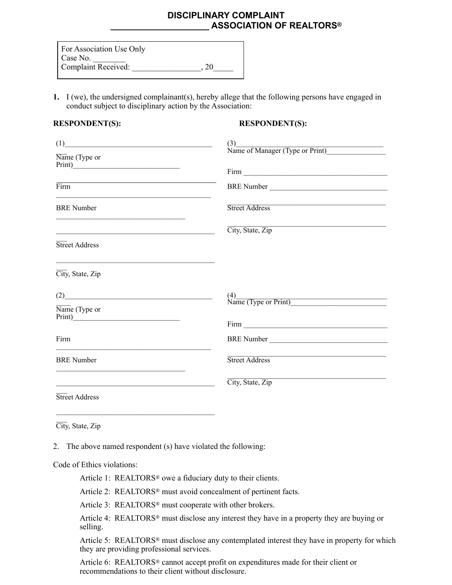# **DISCIPLINARY COMPLAINT \_\_\_\_\_\_\_\_\_\_\_\_\_\_\_\_\_\_\_\_ ASSOCIATION OF REALTORS®**

| For Association Use Only   |    |
|----------------------------|----|
| Case No.                   |    |
| <b>Complaint Received:</b> | 20 |

**1.** I (we), the undersigned complainant(s), hereby allege that the following persons have engaged in conduct subject to disciplinary action by the Association:

## **RESPONDENT(S): RESPONDENT(S):**

| (1)                                                                                                                                                                                                                                                                                                                                                                 |                                           |
|---------------------------------------------------------------------------------------------------------------------------------------------------------------------------------------------------------------------------------------------------------------------------------------------------------------------------------------------------------------------|-------------------------------------------|
| Name (Type or                                                                                                                                                                                                                                                                                                                                                       | (3)<br>Name of Manager (Type or Print)    |
|                                                                                                                                                                                                                                                                                                                                                                     |                                           |
| the control of the control of the control of the control of the control of the control of<br>Firm<br><u> 1989 - Johann Stoff, deutscher Stoff, der Stoff, der Stoff, der Stoff, der Stoff, der Stoff, der Stoff, der S</u>                                                                                                                                          |                                           |
| <b>BRE</b> Number<br><u> 1989 - Johann John Stein, markin fan it ferskearre fan it ferskearre fan it ferskearre fan it ferskearre fan </u>                                                                                                                                                                                                                          | Street Address                            |
|                                                                                                                                                                                                                                                                                                                                                                     | City, State, Zip                          |
| Street Address                                                                                                                                                                                                                                                                                                                                                      |                                           |
| <u> 1989 - Johann Stoff, deutscher Stoff, der Stoff, der Stoff, der Stoff, der Stoff, der Stoff, der Stoff, der S</u><br>City, State, Zip                                                                                                                                                                                                                           |                                           |
| $\begin{picture}(25,10) \put(0,0){\vector(1,0){100}} \put(15,0){\vector(1,0){100}} \put(15,0){\vector(1,0){100}} \put(15,0){\vector(1,0){100}} \put(15,0){\vector(1,0){100}} \put(15,0){\vector(1,0){100}} \put(15,0){\vector(1,0){100}} \put(15,0){\vector(1,0){100}} \put(15,0){\vector(1,0){100}} \put(15,0){\vector(1,0){100}} \put(15,0){\vector(1,0){100}} \$ | $\frac{(4)}{\text{Name (Type or Print)}}$ |
| Name (Type or                                                                                                                                                                                                                                                                                                                                                       |                                           |
|                                                                                                                                                                                                                                                                                                                                                                     |                                           |
| Firm<br>the control of the control of the control of the control of the control of the control of the control of the control of                                                                                                                                                                                                                                     | BRE Number                                |
| <b>BRE</b> Number                                                                                                                                                                                                                                                                                                                                                   | <b>Street Address</b>                     |
| <u> 1989 - Johann Stoff, amerikansk politiker (d. 1989)</u>                                                                                                                                                                                                                                                                                                         | City, State, Zip                          |
| Street Address                                                                                                                                                                                                                                                                                                                                                      |                                           |

\_\_\_ City, State, Zip

2. The above named respondent (s) have violated the following:

Code of Ethics violations:

Article 1: REALTORS<sup>®</sup> owe a fiduciary duty to their clients.

Article 2: REALTORS® must avoid concealment of pertinent facts.

Article 3: REALTORS® must cooperate with other brokers.

 Article 4: REALTORS® must disclose any interest they have in a property they are buying or selling.

 Article 5: REALTORS® must disclose any contemplated interest they have in property for which they are providing professional services.

 Article 6: REALTORS® cannot accept profit on expenditures made for their client or recommendations to their client without disclosure.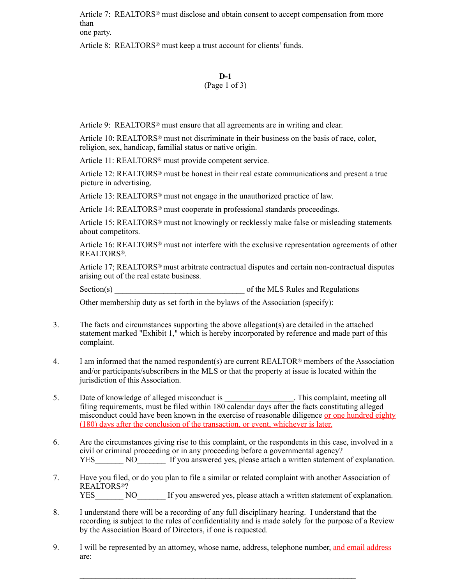Article 7: REALTORS® must disclose and obtain consent to accept compensation from more than one party.

Article 8: REALTORS® must keep a trust account for clients' funds.

## **D-1**

# (Page 1 of 3)

Article 9: REALTORS® must ensure that all agreements are in writing and clear.

 Article 10: REALTORS® must not discriminate in their business on the basis of race, color, religion, sex, handicap, familial status or native origin.

Article 11: REALTORS® must provide competent service.

 Article 12: REALTORS® must be honest in their real estate communications and present a true picture in advertising.

Article 13: REALTORS® must not engage in the unauthorized practice of law.

Article 14: REALTORS<sup>®</sup> must cooperate in professional standards proceedings.

 Article 15: REALTORS® must not knowingly or recklessly make false or misleading statements about competitors.

Article 16: REALTORS<sup>®</sup> must not interfere with the exclusive representation agreements of other REALTORS®.

 Article 17; REALTORS® must arbitrate contractual disputes and certain non-contractual disputes arising out of the real estate business.

 $Section(s)$  of the MLS Rules and Regulations

Other membership duty as set forth in the bylaws of the Association (specify):

- 3. The facts and circumstances supporting the above allegation(s) are detailed in the attached statement marked "Exhibit 1," which is hereby incorporated by reference and made part of this complaint.
- 4. I am informed that the named respondent(s) are current REALTOR® members of the Association and/or participants/subscribers in the MLS or that the property at issue is located within the jurisdiction of this Association.
- 5. Date of knowledge of alleged misconduct is This complaint, meeting all filing requirements, must be filed within 180 calendar days after the facts constituting alleged misconduct could have been known in the exercise of reasonable diligence or one hundred eighty (180) days after the conclusion of the transaction, or event, whichever is later.
- 6. Are the circumstances giving rise to this complaint, or the respondents in this case, involved in a civil or criminal proceeding or in any proceeding before a governmental agency? YES NO If you answered yes, please attach a written statement of explanation.
- 7. Have you filed, or do you plan to file a similar or related complaint with another Association of REALTORS®? YES NO If you answered yes, please attach a written statement of explanation.
- 8. I understand there will be a recording of any full disciplinary hearing. I understand that the recording is subject to the rules of confidentiality and is made solely for the purpose of a Review by the Association Board of Directors, if one is requested.
- 9. I will be represented by an attorney, whose name, address, telephone number, and email address are:

 $\mathcal{L}_\text{max} = \mathcal{L}_\text{max} = \mathcal{L}_\text{max} = \mathcal{L}_\text{max} = \mathcal{L}_\text{max} = \mathcal{L}_\text{max} = \mathcal{L}_\text{max} = \mathcal{L}_\text{max} = \mathcal{L}_\text{max} = \mathcal{L}_\text{max} = \mathcal{L}_\text{max} = \mathcal{L}_\text{max} = \mathcal{L}_\text{max} = \mathcal{L}_\text{max} = \mathcal{L}_\text{max} = \mathcal{L}_\text{max} = \mathcal{L}_\text{max} = \mathcal{L}_\text{max} = \mathcal{$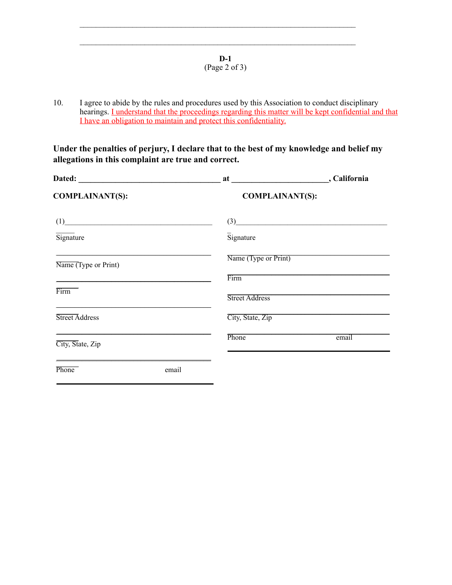## **D-1**  (Page 2 of 3)

 $\mathcal{L}_\mathcal{L} = \mathcal{L}_\mathcal{L} = \mathcal{L}_\mathcal{L} = \mathcal{L}_\mathcal{L} = \mathcal{L}_\mathcal{L} = \mathcal{L}_\mathcal{L} = \mathcal{L}_\mathcal{L} = \mathcal{L}_\mathcal{L} = \mathcal{L}_\mathcal{L} = \mathcal{L}_\mathcal{L} = \mathcal{L}_\mathcal{L} = \mathcal{L}_\mathcal{L} = \mathcal{L}_\mathcal{L} = \mathcal{L}_\mathcal{L} = \mathcal{L}_\mathcal{L} = \mathcal{L}_\mathcal{L} = \mathcal{L}_\mathcal{L}$ 

 $\mathcal{L}_\mathcal{L} = \mathcal{L}_\mathcal{L} = \mathcal{L}_\mathcal{L} = \mathcal{L}_\mathcal{L} = \mathcal{L}_\mathcal{L} = \mathcal{L}_\mathcal{L} = \mathcal{L}_\mathcal{L} = \mathcal{L}_\mathcal{L} = \mathcal{L}_\mathcal{L} = \mathcal{L}_\mathcal{L} = \mathcal{L}_\mathcal{L} = \mathcal{L}_\mathcal{L} = \mathcal{L}_\mathcal{L} = \mathcal{L}_\mathcal{L} = \mathcal{L}_\mathcal{L} = \mathcal{L}_\mathcal{L} = \mathcal{L}_\mathcal{L}$ 

10. I agree to abide by the rules and procedures used by this Association to conduct disciplinary hearings. I understand that the proceedings regarding this matter will be kept confidential and that I have an obligation to maintain and protect this confidentiality.

**Under the penalties of perjury, I declare that to the best of my knowledge and belief my allegations in this complaint are true and correct.** 

| <b>COMPLAINANT(S):</b>                                                          | <b>COMPLAINANT(S):</b>  |                  |
|---------------------------------------------------------------------------------|-------------------------|------------------|
| (1)                                                                             |                         | $\left(3\right)$ |
| Signature                                                                       | $\overline{S}$ ignature |                  |
| Name (Type or Print)                                                            | Name (Type or Print)    |                  |
|                                                                                 | Firm                    |                  |
| Firm                                                                            | Street Address          |                  |
| Street Address                                                                  | City, State, Zip        |                  |
| <u> 1989 - Johann Stoff, amerikansk politiker (d. 1989)</u><br>City, State, Zip | Phone                   | email            |
| Phone<br>email                                                                  |                         |                  |